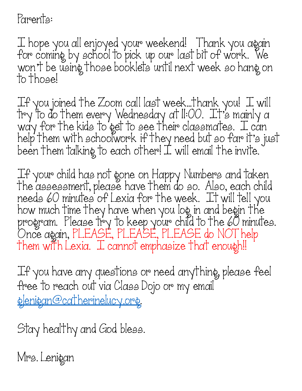Parents:

I hope you all enjoyed your weekend! Thank you again for coming by school to pick up our last bit of work. We won't be using those booklets until next week so hang on to those!

If you joined the Zoom call last week…thank you! I will try to do them every Wednesday at 11:00. It's mainly a way for the kids to get to see their classmates. I can help them with schoolwork if they need but so far it's just been them talking to each other! I will email the invite.

If your child has not gone on Happy Numbers and taken the assessment, please have them do so. Also, each child needs 60 minutes of Lexia for the week. It will tell you how much time they have when you log in and begin the program. Please try to keep your child to the 60 minutes. Once again, PLEASE, PLEASE, PLEASE do NOT help Them with Lexia. J. cannot emphasize that enough!!

If you have any questions or need anything, please feel free to reach out via Class Dojo or my email glenigan@catherinelucy.org.

Stay healthy and God bless.

Mrs. Lenigan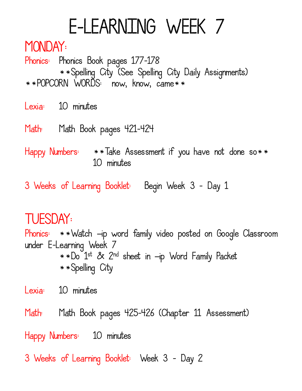# E-LEARNING WEEK 7

#### MONDAY:

Phonics: Phonics Book pages 177-178 \*\*Spelling City (See Spelling City Daily Assignments) \*\*POPCORN WORDS: now, know, came\*\*

Lexia: 10 minutes

- Math: Math Book pages 421-424
- Happy Numbers: \*\*Take Assessment if you have not done so\*\* 10 minutes
- 3 Weeks of Learning Booklet: Begin Week 3 Day 1

# TUESDAY:

Phonics: \*\*Watch –ip word family video posted on Google Classroom under E-Learning Week 7 \*\*Do 1st & 2nd sheet in –ip Word Family Packet \*\*Spelling City

Lexia: 10 minutes

Math: Math Book pages 425-426 (Chapter 11 Assessment) Happy Numbers: 10 minutes

3 Weeks of Learning Booklet: Week 3 - Day 2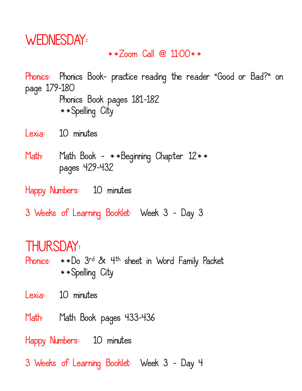### WEDNESDAY:

#### \*\*Zoom Call @ 11:00\*\*

Phonics: Phonics Book- practice reading the reader "Good or Bad?" on page 179-180 Phonics Book pages 181-182 \*\*Spelling City

- Lexia: 10 minutes
- Math: Math Book \*\*Beginning Chapter 12\*\* pages 429-432

Happy Numbers: 10 minutes

3 Weeks of Learning Booklet: Week 3 - Day 3

### THURSDAY:

Phonics: \*\*Do 3rd & 4th sheet in Word Family Packet \*\*Spelling City

Lexia: 10 minutes

Math: Math Book pages 433-436

Happy Numbers: 10 minutes

3 Weeks of Learning Booklet: Week 3 - Day 4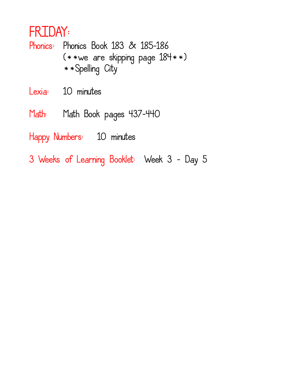## FRIDAY:

Phonics: Phonics Book 183 & 185-186 (\*\*we are skipping page 184\*\*) \*\*Spelling City

Lexia: 10 minutes

Math: Math Book pages 437-440

Happy Numbers: 10 minutes

3 Weeks of Learning Booklet: Week 3 - Day 5